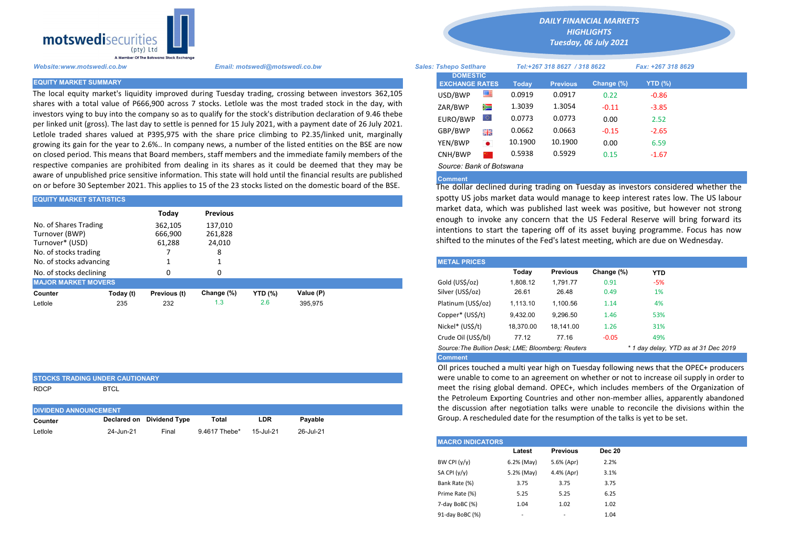

The local equity market's liquidity improved during Tuesday trading, crossing between investors 362,105 shares with a total value of P666,900 across 7 stocks. Letlole was the most traded stock in the day, with investors vying to buy into the company so as to qualify for the stock's distribution declaration of 9.46 thebe per linked unit (gross). The last day to settle is penned for 15 July 2021, with a payment date of 26 July 2021. Letlole traded shares valued at P395,975 with the share price climbing to P2.35/linked unit, marginally growing its gain for the year to 2.6%.. In company news, a number of the listed entities on the BSE are now on closed period. This means that Board members, staff members and the immediate family members of the respective companies are prohibited from dealing in its shares as it could be deemed that they may be aware of unpublished price sensitive information. This state will hold until the financial results are published on or before 30 September 2021. This applies to 15 of the 23 stocks listed on the domestic board of the BSE.

| <b>EQUITY MARKET STATISTICS</b>                                                     |           |                                                              |                 | spotty US jobs market data would manage to keep interest rates low |           |                                                                                                                                      |          |                                                                                                                                               |            |            |  |  |  |
|-------------------------------------------------------------------------------------|-----------|--------------------------------------------------------------|-----------------|--------------------------------------------------------------------|-----------|--------------------------------------------------------------------------------------------------------------------------------------|----------|-----------------------------------------------------------------------------------------------------------------------------------------------|------------|------------|--|--|--|
|                                                                                     |           | Todav                                                        | <b>Previous</b> |                                                                    |           | market data, which was published last week was positive, but how<br>enough to invoke any concern that the US Federal Reserve will br |          |                                                                                                                                               |            |            |  |  |  |
| No. of Shares Trading<br>Turnover (BWP)<br>Turnover* (USD)<br>No. of stocks trading |           | 362,105<br>137.010<br>666,900<br>261,828<br>24,010<br>61,288 |                 |                                                                    |           |                                                                                                                                      |          | intentions to start the tapering off of its asset buying programme.<br>shifted to the minutes of the Fed's latest meeting, which are due on W |            |            |  |  |  |
| No. of stocks advancing                                                             |           |                                                              |                 |                                                                    |           | <b>METAL PRICES</b>                                                                                                                  |          |                                                                                                                                               |            |            |  |  |  |
| No. of stocks declining                                                             |           | 0                                                            | O               |                                                                    |           |                                                                                                                                      | Today    | <b>Previous</b>                                                                                                                               | Change (%) | <b>YTD</b> |  |  |  |
| <b>MAJOR MARKET MOVERS</b>                                                          |           |                                                              |                 |                                                                    |           | Gold (US\$/oz)                                                                                                                       | 1,808.12 | 1.791.77                                                                                                                                      | 0.91       | $-5%$      |  |  |  |
| Counter                                                                             | Today (t) | Previous (t)                                                 | Change (%)      | <b>YTD (%)</b>                                                     | Value (P) | Silver (US\$/oz)                                                                                                                     | 26.61    | 26.48                                                                                                                                         | 0.49       | 1%         |  |  |  |
| Letlole                                                                             | 235       | 232                                                          | 1.3             | 2.6                                                                | 395.975   | Platinum (US\$/oz)                                                                                                                   | 1.113.10 | 1.100.56                                                                                                                                      | 1.14       | 4%         |  |  |  |
|                                                                                     |           |                                                              |                 |                                                                    |           | .                                                                                                                                    | .        |                                                                                                                                               |            |            |  |  |  |

|                              | <b>STOCKS TRADING UNDER CAUTIONARY</b> |       |     |         |  |
|------------------------------|----------------------------------------|-------|-----|---------|--|
| <b>RDCP</b>                  | <b>BTCL</b>                            |       |     |         |  |
| <b>DIVIDEND ANNOUNCEMENT</b> |                                        |       |     |         |  |
| Counter                      | Declared on Dividend Type              | Total | LDR | Payable |  |

Letlole 24-Jun-21 Final 9.4617 Thebe\* 15-Jul-21 26-Jul-21

*DAILY FINANCIAL MARKETS*

*HIGHLIGHTS Tuesday, 06 July 2021* 

| --- <del>-----------</del> ------<br>(pty) Ltd<br>A Member Of The Botswana Stock Exchange |                                                                                                                                                                                                                             |                                          |                              |              |                 | TUCSUUY, OU JUIY ZUZI |                |  |
|-------------------------------------------------------------------------------------------|-----------------------------------------------------------------------------------------------------------------------------------------------------------------------------------------------------------------------------|------------------------------------------|------------------------------|--------------|-----------------|-----------------------|----------------|--|
| Website:www.motswedi.co.bw                                                                | <b>Sales: Tshepo Setlhare</b>                                                                                                                                                                                               |                                          | Tel:+267 318 8627 / 318 8622 |              |                 | Fax: +267 318 8629    |                |  |
| <b>EQUITY MARKET SUMMARY</b>                                                              |                                                                                                                                                                                                                             | <b>DOMESTIC</b><br><b>EXCHANGE RATES</b> |                              | <b>Today</b> | <b>Previous</b> | Change (%)            | <b>YTD (%)</b> |  |
|                                                                                           | The local equity market's liquidity improved during Tuesday trading, crossing between investors 362,105                                                                                                                     | USD/BWP                                  | ≝                            | 0.0919       | 0.0917          | 0.22                  | $-0.86$        |  |
|                                                                                           | shares with a total value of P666,900 across 7 stocks. Letlole was the most traded stock in the day, with                                                                                                                   | ZAR/BWP                                  | 道                            | 1.3039       | 1.3054          | $-0.11$               | $-3.85$        |  |
|                                                                                           | investors vying to buy into the company so as to qualify for the stock's distribution declaration of 9.46 thebe                                                                                                             | EURO/BWP                                 |                              | 0.0773       | 0.0773          | 0.00                  | 2.52           |  |
|                                                                                           | per linked unit (gross). The last day to settle is penned for 15 July 2021, with a payment date of 26 July 2021.<br>Letlole traded shares valued at P395,975 with the share price climbing to P2.35/linked unit, marginally | GBP/BWP                                  | 誤語                           | 0.0662       | 0.0663          | $-0.15$               | $-2.65$        |  |
|                                                                                           | growing its gain for the year to 2.6% In company news, a number of the listed entities on the BSE are now                                                                                                                   | YEN/BWP                                  | $\bullet$                    | 10.1900      | 10.1900         | 0.00                  | 6.59           |  |
|                                                                                           | on closed period. This means that Board members, staff members and the immediate family members of the                                                                                                                      | CNH/BWP                                  |                              | 0.5938       | 0.5929          | 0.15                  | $-1.67$        |  |

*Source: Bank of Botswana*

## Comment

The dollar declined during trading on Tuesday as investors considered whether the spotty US jobs market data would manage to keep interest rates low. The US labour market data, which was published last week was positive, but however not strong enough to invoke any concern that the US Federal Reserve will bring forward its intentions to start the tapering off of its asset buying programme. Focus has now shifted to the minutes of the Fed's latest meeting, which are due on Wednesday.

| <b>METAL PRICES</b>                                                                       |           |                 |            |            |  |  |  |  |  |
|-------------------------------------------------------------------------------------------|-----------|-----------------|------------|------------|--|--|--|--|--|
|                                                                                           | Today     | <b>Previous</b> | Change (%) | <b>YTD</b> |  |  |  |  |  |
| Gold (US\$/oz)                                                                            | 1.808.12  | 1.791.77        | 0.91       | -5%        |  |  |  |  |  |
| Silver (US\$/oz)                                                                          | 26.61     | 26.48           | 0.49       | 1%         |  |  |  |  |  |
| Platinum (US\$/oz)                                                                        | 1.113.10  | 1.100.56        | 1.14       | 4%         |  |  |  |  |  |
| Copper* (US\$/t)                                                                          | 9,432.00  | 9.296.50        | 1.46       | 53%        |  |  |  |  |  |
| Nickel* (US\$/t)                                                                          | 18.370.00 | 18.141.00       | 1.26       | 31%        |  |  |  |  |  |
| Crude Oil (US\$/bl)                                                                       | 77.12     | 77.16           | $-0.05$    | 49%        |  |  |  |  |  |
| Source: The Bullion Desk: LME: Bloomberg: Reuters<br>* 1 day delay, YTD as at 31 Dec 2019 |           |                 |            |            |  |  |  |  |  |
| <b>Comment</b>                                                                            |           |                 |            |            |  |  |  |  |  |

OIl prices touched a multi year high on Tuesday following news that the OPEC+ producers were unable to come to an agreement on whether or not to increase oil supply in order to meet the rising global demand. OPEC+, which includes members of the Organization of the Petroleum Exporting Countries and other non-member allies, apparently abandoned the discussion after negotiation talks were unable to reconcile the divisions within the Group. A rescheduled date for the resumption of the talks is yet to be set.

| <b>IMACRO INDICATORS</b> |                          |                          |               |  |  |  |  |  |
|--------------------------|--------------------------|--------------------------|---------------|--|--|--|--|--|
|                          | Latest                   | <b>Previous</b>          | <b>Dec 20</b> |  |  |  |  |  |
| BW CPI $(y/y)$           | 6.2% (May)               | 5.6% (Apr)               | 2.2%          |  |  |  |  |  |
| SA CPI $(y/y)$           | 5.2% (May)               | 4.4% (Apr)               | 3.1%          |  |  |  |  |  |
| Bank Rate (%)            | 3.75                     | 3.75                     | 3.75          |  |  |  |  |  |
| Prime Rate (%)           | 5.25                     | 5.25                     | 6.25          |  |  |  |  |  |
| 7-day BoBC (%)           | 1.04                     | 1.02                     | 1.02          |  |  |  |  |  |
| 91-day BoBC (%)          | $\overline{\phantom{a}}$ | $\overline{\phantom{a}}$ | 1.04          |  |  |  |  |  |